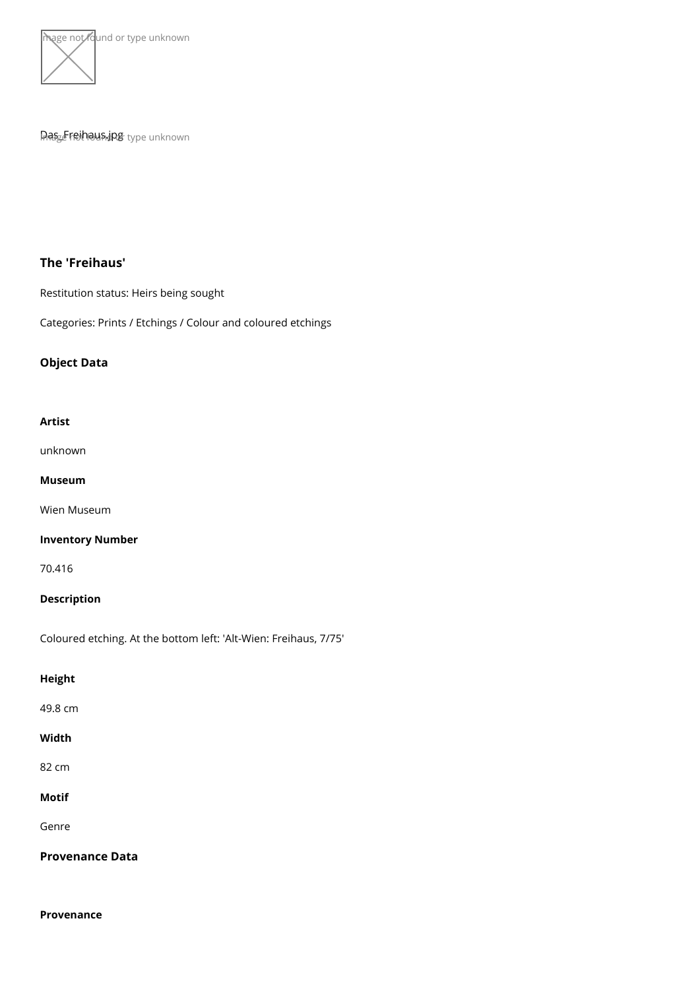

# Pras<sub>ce</sub>Freihausdjog type unknown

The 'Freihaus'

Restitution status: Heirs being sought

Categories: Prints / Etchings / Colour and coloured etchings

Object Data

### Artist

[unkno](https://www.kunstdatenbank.at/search-for-objects/artist/unknown)wn

Museum

[Wien Mus](https://www.kunstdatenbank.at//detail-view-museum/wien-museum.html)eum

Inventory Number

70.416

Description

Coloured etching. At the bottom left: 'Alt-Wien: Freihaus, 7/75'

Height

49.8 cm

Width

82 cm

Motif

Genre

Provenance Data

Provenance